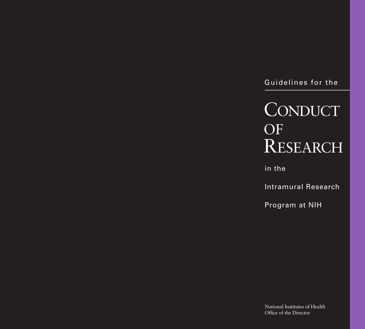### Guidelines for the

# **CONDUCT** OF RESEARCH

in the

Intramural Research

Program at NIH

National Institutes of Health Office of the Director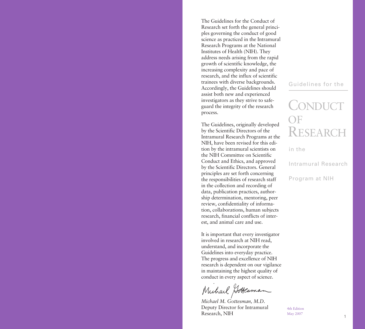The Guidelines for the Conduct of Research set forth the general principles governing the conduct of good science as practiced in the Intramural Research Programs at the National Institutes of Health (NIH). They address needs arising from the rapid growth of scientific knowledge, the increasing complexity and pace of research, and the influx of scientific trainees with diverse backgrounds. Accordingly, the Guidelines should assist both new and experienced investigators as they strive to safeguard the integrity of the research process.

The Guidelines, originally developed by the Scientific Directors of the Intramural Research Programs at the NIH, have been revised for this edition by the intramural scientists on the NIH Committee on Scientific Conduct and Ethics, and approved by the Scientific Directors. General principles are set forth concerning the responsibilities of research staff in the collection and recording of data, publication practices, authorship determination, mentoring, peer review, confidentiality of information, collaborations, human subjects research, financial conflicts of interest, and animal care and use.

It is important that every investigator involved in research at NIH read, understand, and incorporate the Guidelines into everyday practice. The progress and excellence of NIH research is dependent on our vigilance in maintaining the highest quality of conduct in every aspect of science.

Muhail Gottesman

*Michael M. Gottesman, M.D.* Deputy Director for Intramural Research, NIH

Guidelines for the

## **CONDUCT** OF RESEARCH

in the

4th Edition May 2007

Intramural Research

Program at NIH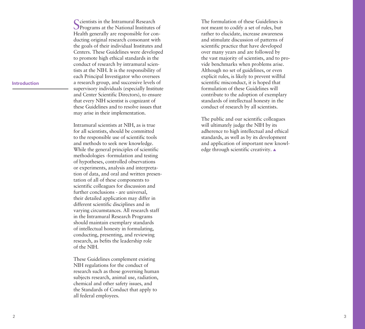Scientists in the Intramural Research<br>Programs at the National Institutes of Health generally are responsible for conducting original research consonant with the goals of their individual Institutes and Centers. These Guidelines were developed to promote high ethical standards in the conduct of research by intramural scientists at the NIH. It is the responsibility of each Principal Investigator who oversees a research group, and successive levels of supervisory individuals (especially Institute and Center Scientific Directors), to ensure that every NIH scientist is cognizant of these Guidelines and to resolve issues that may arise in their implementation.

Intramural scientists at NIH, as is true for all scientists, should be committed to the responsible use of scientific tools and methods to seek new knowledge. While the general principles of scientific methodologies -formulation and testing of hypotheses, controlled observations or experiments, analysis and interpretation of data, and oral and written presentation of all of these components to scientific colleagues for discussion and further conclusions - are universal, their detailed application may differ in different scientific disciplines and in varying circumstances. All research staff in the Intramural Research Programs should maintain exemplary standards of intellectual honesty in formulating, conducting, presenting, and reviewing research, as befits the leadership role of the NIH.

These Guidelines complement existing NIH regulations for the conduct of research such as those governing human subjects research, animal use, radiation, chemical and other safety issues, and the Standards of Conduct that apply to all federal employees.

The formulation of these Guidelines is not meant to codify a set of rules, but rather to elucidate, increase awareness and stimulate discussion of patterns of scientific practice that have developed over many years and are followed by the vast majority of scientists, and to provide benchmarks when problems arise. Although no set of guidelines, or even explicit rules, is likely to prevent willful scientific misconduct, it is hoped that formulation of these Guidelines will contribute to the adoption of exemplary standards of intellectual honesty in the conduct of research by all scientists.

The public and our scientific colleagues will ultimately judge the NIH by its adherence to high intellectual and ethical standards, as well as by its development and application of important new knowl edge through scientific creativity. **▲**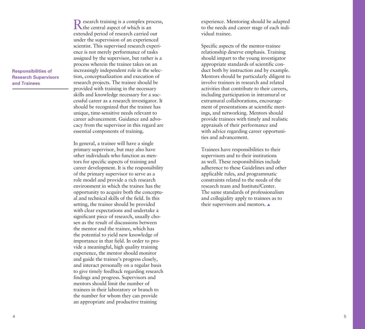**Responsibilities of Research Supervisors and Trainees**

esearch training is a complex process, **The central aspect of which is an** extended period of research carried out under the supervision of an experienced scientist. This supervised research experience is not merely performance of tasks assigned by the supervisor, but rather is a process wherein the trainee takes on an increasingly independent role in the selection, conceptualization and execution of research projects. The trainee should be provided with training in the necessary skills and knowledge necessary for a suc cessful career as a research investigator. It should be recognized that the trainee has unique, time-sensitive needs relevant to career advancement. Guidance and advocacy from the supervisor in this regard are essential components of training.

In general, a trainee will have a single primary supervisor , but may also have other individuals who function as mentors for specific aspects of training and career development. It is the responsibility of the primary supervisor to serve as a role model and provide a rich research environment in which the trainee has the opportunity to acquire both the conceptu al and technical skills of the field. In this setting, the trainee should be provided with clear expectations and undertake a significant piece of research, usually cho sen as the result of discussions between the mentor and the trainee, which has the potential to yield new knowledge of importance in that field. In order to pro vide a meaningful, high quality training experience, the mentor should monitor and guide the trainee's progress closely, and interact personally on a regular basis to give timely feedback regarding research findings and progress. Supervisors and mentors should limit the number of trainees in their laboratory or branch to the number for whom they can provide an appropriate and productive training

experience. Mentoring should be adapted to the needs and career stage of each individual trainee.

Specific aspects of the mentor-trainee relationship deserve emphasis. Training should impart to the young investigator appropriate standards of scientific conduct both by instruction and by example. Mentors should be particularly diligent to involve trainees in research and related activities that contribute to their careers, including participation in intramural or extramural collaborations, encouragement of presentations at scientific meetings, and networking. Mentors should provide trainees with timely and realistic appraisals of their performance and with advice regarding career opportuni ties and advancement.

Trainees have responsibilities to their supervisors and to their institutions as well. These responsibilities include adherence to these Guidelines and other applicable rules, and programmatic constraints related to the needs of the research team and Institute/Center. The same standards of professionalism and collegiality apply to trainees as to their supervisors and mentors. **▲**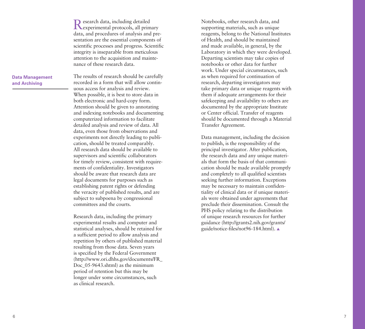Research data, including detailed experimental protocols, all primary data, and procedures of analysis and presentation are the essential components of scientific processes and progress. Scientific integrity is inseparable from meticulous attention to the acquisition and maintenance of these research data.

**Data Management and Archiving**

The results of research should be carefully recorded in a form that will allow continuous access for analysis and review. When possible, it is best to store data in both electronic and hard-copy form. Attention should be given to annotating and indexing notebooks and documenting computerized information to facilitate detailed analysis and review of data. All data, even those from observations and experiments not directly leading to publication, should be treated comparably. All research data should be available to supervisors and scientific collaborators for timely review, consistent with requirements of confidentiality. Investigators should be aware that research data are legal documents for purposes such as establishing patent rights or defending the veracity of published results, and are subject to subpoena by congressional committees and the courts.

Research data, including the primary experimental results and computer and statistical analyses, should be retained for a sufficient period to allow analysis and repetition by others of published material resulting from those data. Seven years is specified by the Federal Government (http://www.ori.dhhs.gov/documents/FR\_ Doc 05-9643.shtml) as the minimum period of retention but this may be longer under some circumstances, such as clinical research.

Notebooks, other research data, and supporting materials, such as unique reagents, belong to the National Institutes of Health, and should be maintained and made available, in general, by the Laboratory in which they were developed. Departing scientists may take copies of notebooks or other data for further work. Under special circumstances, such as when required for continuation of research, departing investigators may take primary data or unique reagents with them if adequate arrangements for their safekeeping and availability to others are documented by the appropriate Institute or Center official. Transfer of reagents should be documented through a Material Transfer Agreement.

Data management, including the decision to publish, is the responsibility of the principal investigator. After publication, the research data and any unique materials that form the basis of that communication should be made available promptly and completely to all qualified scientists seeking further information. Exceptions may be necessary to maintain confiden tiality of clinical data or if unique materials were obtained under agreements that preclude their dissemination. Consult the PHS policy relating to the distribution of unique research resources for further guidance (http://grants2.nih.gov/grants/ guide/notice-files/not96-184.html). **▲**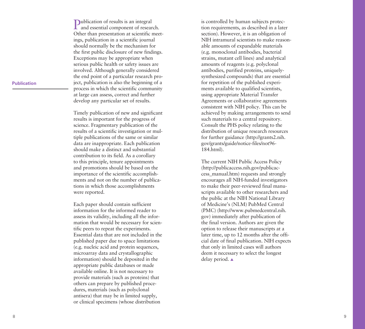Publication of results is an integral<br>and essential component of resear and essential component of research. Other than presentation at scientific meetings, publication in a scientific journal should normally be the mechanism for the first public disclosure of new findings. Exceptions may be appropriate when serious public health or safety issues are involved. Although generally considered the end point of a particular research project, publication is also the beginning of a process in which the scientific community at large can assess, correct and further develop any particular set of results.

Timely publication of new and significant results is important for the progress of science. Fragmentary publication of the results of a scientific investigation or mul tiple publications of the same or similar data are inappropriate. Each publication should make a distinct and substantial contribution to its field. As a corollary to this principle, tenure appointments and promotions should be based on the importance of the scientific accomplishments and not on the number of publica tions in which those accomplishments were reported.

Each paper should contain sufficient information for the informed reader to assess its validity, including all the infor mation that would be necessary for scientific peers to repeat the experiments. Essential data that are not included in the published paper due to space limitations (e.g. nucleic acid and protein sequences, microarray data and crystallographic information) should be deposited in the appropriate public databases or made available online. It is not necessary to provide materials (such as proteins) that others can prepare by published proce dures, materials (such as polyclonal antisera) that may be in limited supply, or clinical specimens (whose distribution

is controlled by human subjects protection requirements, as described in a later section). However, it is an obligation of NIH intramural scientists to make reasonable amounts of expandable materials (e.g. monoclonal antibodies, bacterial strains, mutant cell lines) and analytical amounts of reagents (e.g. polyclonal antibodies, purified proteins, uniquelysynthesized compounds) that are essential for repetition of the published experiments available to qualified scientists, using appropriate Material Transfer Agreements or collaborative agreements consistent with NIH policy. This can be achieved by making arrangements to send such materials to a central repository. Consult the PHS policy relating to the distribution of unique research resources for further guidance (http://grants2.nih. gov/grants/guide/notice-files/not96- 184.html).

The current NIH Public Access Policy (http://publicaccess.nih.gov/publicac cess\_manual.htm) requests and strongly encourages all NIH-funded investigators to make their peer-reviewed final manu scripts available to other researchers and the public at the NIH National Library of Medicine's (NLM) PubMed Central (PMC) (http://www.pubmedcentral.nih. gov) immediately after publication of the final version. Authors are given the option to release their manuscripts at a later time, up to 12 months after the official date of final publication. NIH expects that only in limited cases will authors deem it necessary to select the longest delay period. **▲**

**Publication**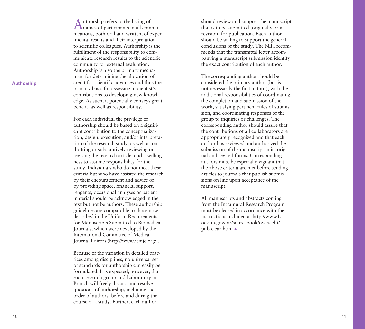Authorship refers to the listing of names of participants in all communications, both oral and written, of experimental results and their interpretation to scientific colleagues. Authorship is the fulfillment of the responsibility to communicate research results to the scientific community for external evaluation. Authorship is also the primary mechanism for determining the allocation of credit for scientific advances and thus the primary basis for assessing a scientist's contributions to developing new knowl edge. As such, it potentially conveys great benefit, as well as responsibility.

For each individual the privilege of authorship should be based on a signifi cant contribution to the conceptualiza tion, design, execution, and/or interpretation of the research study, as well as on drafting or substantively reviewing or revising the research article, and a willingness to assume responsibility for the study. Individuals who do not meet these criteria but who have assisted the research by their encouragement and advice or by providing space, financial support, reagents, occasional analyses or patient material should be acknowledged in the text but not be authors. These authorship guidelines are comparable to those now described in the Uniform Requirements for Manuscripts Submitted to Biomedical Journals, which were developed by the International Committee of Medical Journal Editors (http://www.icmje.org/).

Because of the variation in detailed practices among disciplines, no universal set of standards for authorship can easily be formulated. It is expected, however, that each research group and Laboratory or Branch will freely discuss and resolve questions of authorship, including the order of authors, before and during the course of a study. Further, each author

should review and support the manuscript that is to be submitted (originally or in revision) for publication. Each author should be willing to support the general conclusions of the study. The NIH recommends that the transmittal letter accompanying a manuscript submission identify the exact contribution of each author.

The corresponding author should be considered the primary author (but is not necessarily the first author), with the additional responsibilities of coordinating the completion and submission of the work, satisfying pertinent rules of submission, and coordinating responses of the group to inquiries or challenges. The corresponding author should assure that the contributions of all collaborators are appropriately recognized and that each author has reviewed and authorized the submission of the manuscript in its origi nal and revised forms. Corresponding authors must be especially vigilant that the above criteria are met before sending articles to journals that publish submissions on line upon acceptance of the manuscript.

All manuscripts and abstracts coming from the Intramural Research Program must be cleared in accordance with the instructions included at http://www1. od.nih.gov/oir/sourcebook/oversight/ pub-clear.htm. **▲**

#### **Authorship**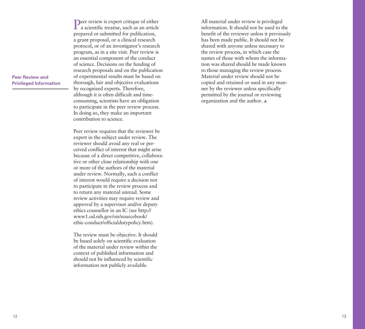Peer review is expert critique of either<br>a scientific treatise, such as an article prepared or submitted for publication, a grant proposal, or a clinical research protocol, or of an investigator's research program, as in a site visit. Peer review is an essential component of the conduct of science. Decisions on the funding of research proposals and on the publication of experimental results must be based on thorough, fair and objective evaluations by recognized experts. Therefore, although it is often difficult and timeconsuming, scientists have an obligation to participate in the peer review process. In doing so, they make an important contribution to science.

Peer review requires that the reviewer be expert in the subject under review. The reviewer should avoid any real or perceived conflict of interest that might arise because of a direct competitive, collaborative or other close relationship with one or more of the authors of the material under review. Normally, such a conflict of interest would require a decision not to participate in the review process and to return any material unread. Some review activities may require review and approval by a supervisor and/or deputy ethics counsellor in an IC (see http:// www1.od.nih.gov/oir/sourcebook/ ethic-conduct/officialdutypolicy.htm).

The review must be objective. It should be based solely on scientific evaluation of the material under review within the context of published information and should not be influenced by scientific information not publicly available.

All material under review is privileged information. It should not be used to the benefit of the reviewer unless it previously has been made public. It should not be shared with anyone unless necessary to the review process, in which case the names of those with whom the information was shared should be made known to those managing the review process. Material under review should not be copied and retained or used in any manner by the reviewer unless specifically permitted by the journal or reviewing organization and the author. **▲**

#### **Peer Review and Privileged Information**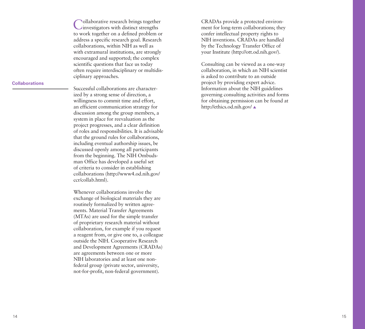Collaborative research brings together investigators with distinct strengths to work together on a defined problem or address a specific research goal. Research collaborations, within NIH as well as with extramural institutions, are strongly encouraged and supported; the complex scientific questions that face us today often require interdisciplinary or multidisciplinary approaches.

**Collaborations**

Successful collaborations are characterized by a strong sense of direction, a willingness to commit time and effort, an efficient communication strategy for discussion among the group members, a system in place for reevaluation as the project progresses, and a clear definition of roles and responsibilities. It is advisable that the ground rules for collaborations, including eventual authorship issues, be discussed openly among all participants from the beginning. The NIH Ombudsman Office has developed a useful set of criteria to consider in establishing collaborations (http://www4.od.nih.gov/ ccr/collab.html).

Whenever collaborations involve the exchange of biological materials they are routinely formalized by written agreements. Material Transfer Agreements (MTAs) are used for the simple transfer of proprietary research material without collaboration, for example if you request a reagent from, or give one to, a colleague outside the NIH. Cooperative Research and Development Agreements (CRADAs) are agreements between one or more NIH laboratories and at least one nonfederal group (private sector, university, not-for-profit, non-federal government).

CRADAs provide a protected environment for long-term collaborations; they confer intellectual property rights to NIH inventions. CRADAs are handled by the Technology Transfer Office of your Institute (http://ott.od.nih.gov/).

Consulting can be viewed as a one-way collaboration, in which an NIH scientist is asked to contribute to an outside project by providing expert advice. Information about the NIH guidelines governing consulting activities and forms for obtaining permission can be found at http://ethics.od.nih.gov/ **▲**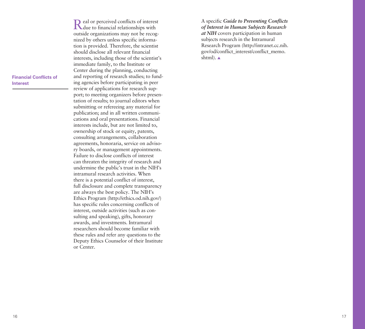**Financial Conflicts of Interest**

Real or perceived conflicts of interest due to financial relationships with outside organizations may not be recognized by others unless specific information is provided. Therefore, the scientist should disclose all relevant financial interests, including those of the scientist's immediate family, to the Institute or Center during the planning, conducting and reporting of research studies; to funding agencies before participating in peer review of applications for research support; to meeting organizers before presentation of results; to journal editors when submitting or refereeing any material for publication; and in all written communications and oral presentations. Financial interests include, but are not limited to, ownership of stock or equity, patents, consulting arrangements, collaboration agreements, honoraria, service on advisory boards, or management appointments. Failure to disclose conflicts of interest can threaten the integrity of research and undermine the public's trust in the NIH's intramural research activities. When there is a potential conflict of interest, full disclosure and complete transparency are always the best policy. The NIH's Ethics Program (http://ethics.od.nih.gov/) has specific rules concerning conflicts of interest, outside activities (such as consulting and speaking), gifts, honorary awards, and investments. Intramural researchers should become familiar with these rules and refer any questions to the Deputy Ethics Counselor of their Institute or Center.

A specific *Guide to Preventing Conflicts of Interest in Human Subjects Research at NIH* covers participation in human subjects research in the Intramural Research Program (http://intranet.cc.nih. gov/od/conflict\_interest/conflict\_memo. shtml). **▲**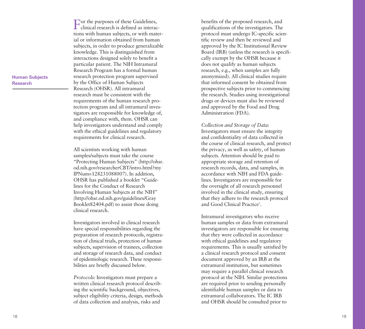For the purposes of these Guidelines, clinical research is defined as interactions with human subjects, or with material or information obtained from human subjects, in order to produce generalizable knowledge. This is distinguished from interactions designed solely to benefit a particular patient. The NIH Intramural Research Program has a formal human research protection program supervised by the Office of Human Subjects Research (OHSR). All intramural research must be consistent with the requirements of the human research protection program and all intramural investigators are responsible for knowledge of, and compliance with, them. OHSR can help investigators understand and comply with the ethical guidelines and regulatory requirements for clinical research.

All scientists working with human samples/subjects must take the course "Protecting Human Subjects" (http://ohsr. od.nih.gov/researcherCBT/intro.html?my IPNum=128231088007). In addition, OHSR has published a booklet "Guide lines for the Conduct of Research Involving Human Subjects at the NIH" (http://ohsr.od.nih.gov/guidelines/Gray Booklet82404.pdf) to assist those doing clinical research.

Investigators involved in clinical research have special responsibilities regarding the preparation of research protocols, registra tion of clinical trials, protection of human subjects, supervision of trainees, collection and storage of research data, and conduct of epidemiologic research. These responsibilities are briefly discussed below.

*Protocols:* Investigators must prepare a written clinical research protocol describ ing the scientific background, objectives, subject eligibility criteria, design, methods of data collection and analysis, risks and

benefits of the proposed research, and qualifications of the investigators. The protocol must undergo IC-specific scientific review and then be reviewed and approved by the IC Institutional Review Board (IRB) (unless the research is specifically exempt by the OHSR because it does not qualify as human subjects research, e.g., when samples are fully anonymized). All clinical studies require that informed consent be obtained from prospective subjects prior to commencing the research. Studies using investigational drugs or devices must also be reviewed and approved by the Food and Drug Administration (FDA).

*Collection and Storage of Data:* Investigators must ensure the integrity and confidentiality of data collected in the course of clinical research, and protect the privacy, as well as safety, of human subjects. Attention should be paid to appropriate storage and retention of research records, data, and samples, in accordance with NIH and FDA guidelines. Investigators are responsible for the oversight of all research personnel involved in the clinical study, ensuring that they adhere to the research protocol and Good Clinical Practice 1 .

Intramural investigators who receive human samples or data from extramural investigators are responsible for ensuring that they were collected in accordance with ethical guidelines and regulatory requirements. This is usually satisfied by a clinical research protocol and consent document approved by an IRB at the extramural institution, but sometimes may require a parallel clinical research protocol at the NIH. Similar protections are required prior to sending personally identifiable human samples or data to extramural collaborators. The IC IRB and OHSR should be consulted prior to

**Human Subjects Research**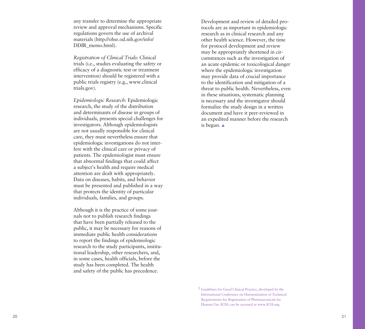any transfer to determine the appropriate review and approval mechanisms. Specific regulations govern the use of archival materials (http://ohsr.od.nih.gov/info/ DDIR\_memo.html).

*Registration of Clinical Trials:* Clinical trials (i.e., studies evaluating the safety or efficacy of a diagnostic test or treatment intervention) should be registered with a public trials registry (e.g., www.clinical trials.gov).

*Epidemiologic Research:* Epidemiologic research, the study of the distribution and determinants of disease in groups of individuals, presents special challenges for investigators. Although epidemiologists are not usually responsible for clinical care, they must nevertheless ensure that epidemiologic investigations do not inter fere with the clinical care or privacy of patients. The epidemiologist must ensure that abnormal findings that could affect a subject's health and require medical attention are dealt with appropriately. Data on diseases, habits, and behavior must be presented and published in a way that protects the identity of particular individuals, families, and groups.

Although it is the practice of some jour nals not to publish research findings that have been partially released to the public, it may be necessary for reasons of immediate public health considerations to report the findings of epidemiologic research to the study participants, institu tional leadership, other researchers, and, in some cases, health officials, before the study has been completed. The health and safety of the public has precedence.

Development and review of detailed protocols are as important in epidemiologic research as in clinical research and any other health science. However, the time for protocol development and review may be appropriately shortened in circumstances such as the investigation of an acute epidemic or toxicological danger where the epidemiologic investigation may provide data of crucial importance to the identification and mitigation of a threat to public health. Nevertheless, even in these situations, systematic planning is necessary and the investigator should formalize the study design in a written document and have it peer-reviewed in an expedited manner before the research is begun. **▲**

<sup>1</sup> Guidelines for Good Clinical Practice, developed by the<br>International Conference on Harmonization of Technical<br>Requirements for Registration of Pharmaceuticals for<br>Human Use (ICH) can be accessed at www.ICH.org.<br>20 International Conference on Harmonization of Technical Requirements for Registration of Pharmaceuticals for Human Use (ICH) can be accessed at www.ICH.org.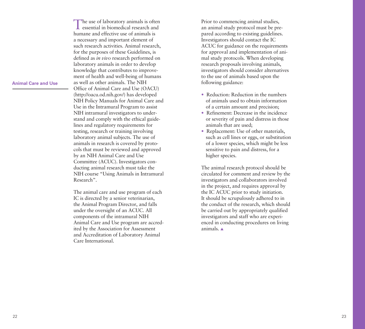The use of laboratory animals is often essential in biomedical research and humane and effective use of animals is a necessary and important element of such research activities. Animal research, for the purposes of these Guidelines, is defined as *in vivo* research performed on laboratory animals in order to develop knowledge that contributes to improvement of health and well-being of humans as well as other animals. The NIH Office of Animal Care and Use (OACU) (http://oacu.od.nih.gov/) has developed NIH Policy Manuals for Animal Care and Use in the Intramural Program to assist NIH intramural investigators to understand and comply with the ethical guidelines and regulatory requirements for testing, research or training involving laboratory animal subjects. The use of animals in research is covered by protocols that must be reviewed and approved by an NIH Animal Care and Use Committee (ACUC). Investigators conducting animal research must take the NIH course "Using Animals in Intramural Research".

The animal care and use program of each IC is directed by a senior veterinarian, the Animal Program Director, and falls under the oversight of an ACUC. All components of the intramural NIH Animal Care and Use program are accredited by the Association for Assessment and Accreditation of Laboratory Animal Care International.

Prior to commencing animal studies, an animal study protocol must be prepared according to existing guidelines. Investigators should contact the IC ACUC for guidance on the requirements for approval and implementation of animal study protocols. When developing research proposals involving animals, investigators should consider alternatives to the use of animals based upon the following guidance:

- Reduction: Reduction in the numbers of animals used to obtain information of a certain amount and precision;
- Refinement: Decrease in the incidence or severity of pain and distress in those animals that are used;
- Replacement: Use of other materials, such as cell lines or eggs, or substitution of a lower species, which might be less sensitive to pain and distress, for a higher species.

The animal research protocol should be circulated for comment and review by the investigators and collaborators involved in the project, and requires approval by the IC ACUC prior to study initiation. It should be scrupulously adhered to in the conduct of the research, which should be carried out by appropriately qualified investigators and staff who are experienced in conducting procedures on living animals. **▲**

#### **Animal Care and Use**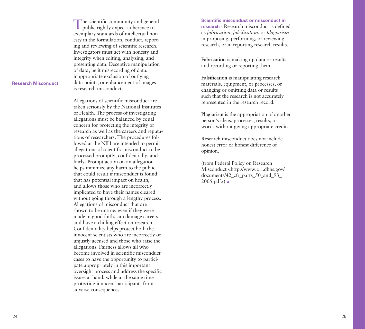The scientific community and general public rightly expect adherence to exemplary standards of intellectual honesty in the formulation, conduct, reporting and reviewing of scientific research. Investigators must act with honesty and integrity when editing, analyzing, and presenting data. Deceptive manipulation of data, be it misrecording of data, inappropriate exclusion of outlying data points, or enhancement of images is research misconduct.

**Research Misconduct**

Allegations of scientific misconduct are taken seriously by the National Institutes of Health. The process of investigating allegations must be balanced by equal concern for protecting the integrity of research as well as the careers and reputa tions of researchers. The procedures followed at the NIH are intended to permit allegations of scientific misconduct to be processed promptly, confidentially, and fairly. Prompt action on an allegation helps minimize any harm to the public that could result if misconduct is found that has potential impact on health, and allows those who are incorrectly implicated to have their names cleared without going through a lengthy process. Allegations of misconduct that are shown to be untrue, even if they were made in good faith, can damage careers and have a chilling effect on research. Confidentiality helps protect both the innocent scientists who are incorrectly or unjustly accused and those who raise the allegations. Fairness allows all who become involved in scientific misconduct cases to have the opportunity to participate appropriately in this important oversight process and address the specific issues at hand, while at the same time protecting innocent participants from adverse consequences.

**Scientific misconduct or misconduct in research -** Research misconduct is defined as *fabrication* , *falsification* , or *plagiarism* in proposing, performing, or reviewing research, or in reporting research results.

**Fabrication** is making up data or results and recording or reporting them.

**Falsification** is manipulating research materials, equipment, or processes, or changing or omitting data or results such that the research is not accurately represented in the research record.

**Plagiarism** is the appropriation of another person's ideas, processes, results, or words without giving appropriate credit.

Research misconduct does not include honest error or honest difference of opinion.

(from Federal Policy on Research Misconduct <http://www.ori.dhhs.gov/ documents/42 cfr parts 50 and 93 2005.pdf>) **▲**